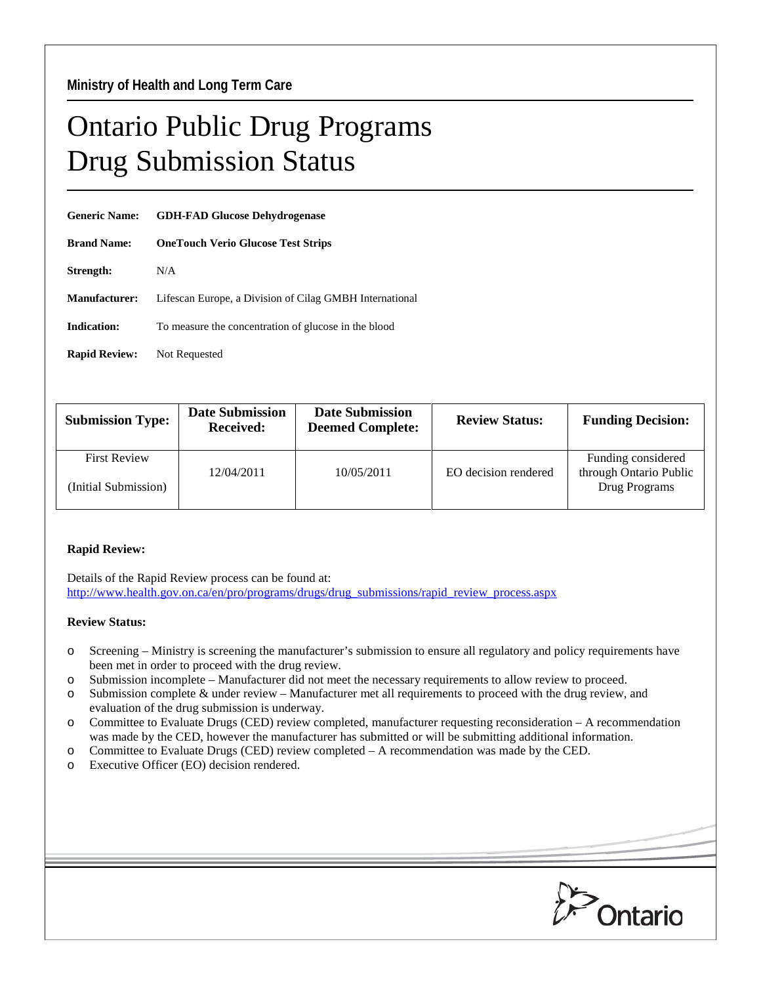## Ontario Public Drug Programs Drug Submission Status

| <b>Generic Name:</b> | <b>GDH-FAD Glucose Dehydrogenase</b>                    |  |  |
|----------------------|---------------------------------------------------------|--|--|
| <b>Brand Name:</b>   | <b>OneTouch Verio Glucose Test Strips</b>               |  |  |
| Strength:            | N/A                                                     |  |  |
| <b>Manufacturer:</b> | Lifescan Europe, a Division of Cilag GMBH International |  |  |
| <b>Indication:</b>   | To measure the concentration of glucose in the blood    |  |  |
| <b>Rapid Review:</b> | Not Requested                                           |  |  |

| <b>Submission Type:</b>                     | <b>Date Submission</b><br><b>Received:</b> | <b>Date Submission</b><br><b>Deemed Complete:</b> | <b>Review Status:</b> | <b>Funding Decision:</b>                                      |
|---------------------------------------------|--------------------------------------------|---------------------------------------------------|-----------------------|---------------------------------------------------------------|
| <b>First Review</b><br>(Initial Submission) | 12/04/2011                                 | 10/05/2011                                        | EO decision rendered  | Funding considered<br>through Ontario Public<br>Drug Programs |
|                                             |                                            |                                                   |                       |                                                               |

## **Rapid Review:**

Details of the Rapid Review process can be found at: [http://www.health.gov.on.ca/en/pro/programs/drugs/drug\\_submissions/rapid\\_review\\_process.aspx](http://www.health.gov.on.ca/en/pro/programs/drugs/drug_submissions/rapid_review_process.aspx)

## **Review Status:**

- o Screening Ministry is screening the manufacturer's submission to ensure all regulatory and policy requirements have been met in order to proceed with the drug review.
- o Submission incomplete Manufacturer did not meet the necessary requirements to allow review to proceed.
- o Submission complete & under review Manufacturer met all requirements to proceed with the drug review, and evaluation of the drug submission is underway.
- o Committee to Evaluate Drugs (CED) review completed, manufacturer requesting reconsideration A recommendation was made by the CED, however the manufacturer has submitted or will be submitting additional information.
- o Committee to Evaluate Drugs (CED) review completed A recommendation was made by the CED.
- o Executive Officer (EO) decision rendered.